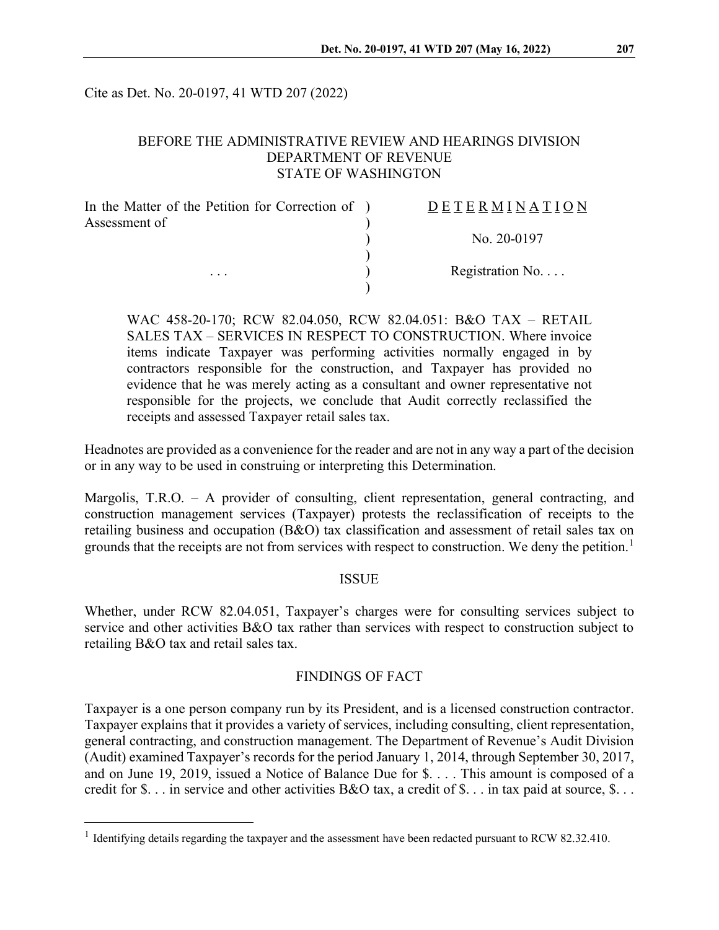Cite as Det. No. 20-0197, 41 WTD 207 (2022)

# BEFORE THE ADMINISTRATIVE REVIEW AND HEARINGS DIVISION DEPARTMENT OF REVENUE STATE OF WASHINGTON

| In the Matter of the Petition for Correction of ) | $D$ E T E R M I N A T I O N |
|---------------------------------------------------|-----------------------------|
| Assessment of                                     |                             |
|                                                   | No. $20-0197$               |
|                                                   |                             |
| $\cdots$                                          | Registration No             |
|                                                   |                             |

WAC 458-20-170; RCW 82.04.050, RCW 82.04.051: B&O TAX – RETAIL SALES TAX – SERVICES IN RESPECT TO CONSTRUCTION. Where invoice items indicate Taxpayer was performing activities normally engaged in by contractors responsible for the construction, and Taxpayer has provided no evidence that he was merely acting as a consultant and owner representative not responsible for the projects, we conclude that Audit correctly reclassified the receipts and assessed Taxpayer retail sales tax.

Headnotes are provided as a convenience for the reader and are not in any way a part of the decision or in any way to be used in construing or interpreting this Determination.

Margolis, T.R.O. – A provider of consulting, client representation, general contracting, and construction management services (Taxpayer) protests the reclassification of receipts to the retailing business and occupation (B&O) tax classification and assessment of retail sales tax on grounds that the receipts are not from services with respect to construction. We deny the petition.<sup>[1](#page-0-0)</sup>

#### ISSUE

Whether, under RCW 82.04.051, Taxpayer's charges were for consulting services subject to service and other activities B&O tax rather than services with respect to construction subject to retailing B&O tax and retail sales tax.

## FINDINGS OF FACT

Taxpayer is a one person company run by its President, and is a licensed construction contractor. Taxpayer explains that it provides a variety of services, including consulting, client representation, general contracting, and construction management. The Department of Revenue's Audit Division (Audit) examined Taxpayer's records for the period January 1, 2014, through September 30, 2017, and on June 19, 2019, issued a Notice of Balance Due for \$. . . . This amount is composed of a credit for \$. . . in service and other activities B&O tax, a credit of \$. . . in tax paid at source, \$. . .

<span id="page-0-0"></span><sup>&</sup>lt;sup>1</sup> Identifying details regarding the taxpayer and the assessment have been redacted pursuant to RCW 82.32.410.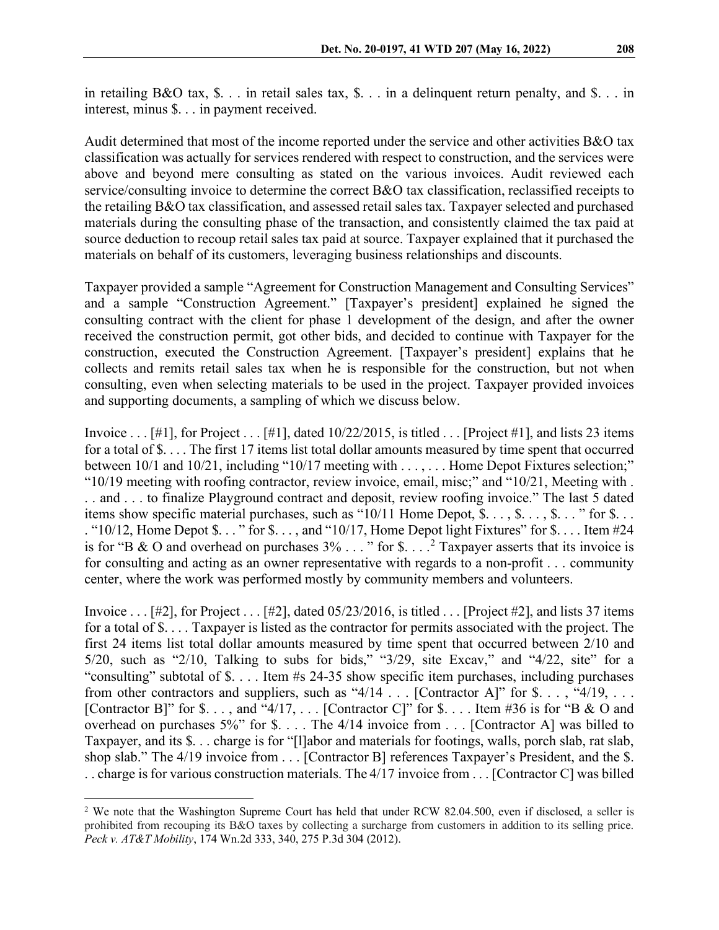in retailing  $B&O$  tax, \$... in retail sales tax, \$... in a delinquent return penalty, and \$... in interest, minus \$. . . in payment received.

Audit determined that most of the income reported under the service and other activities B&O tax classification was actually for services rendered with respect to construction, and the services were above and beyond mere consulting as stated on the various invoices. Audit reviewed each service/consulting invoice to determine the correct B&O tax classification, reclassified receipts to the retailing B&O tax classification, and assessed retail sales tax. Taxpayer selected and purchased materials during the consulting phase of the transaction, and consistently claimed the tax paid at source deduction to recoup retail sales tax paid at source. Taxpayer explained that it purchased the materials on behalf of its customers, leveraging business relationships and discounts.

Taxpayer provided a sample "Agreement for Construction Management and Consulting Services" and a sample "Construction Agreement." [Taxpayer's president] explained he signed the consulting contract with the client for phase 1 development of the design, and after the owner received the construction permit, got other bids, and decided to continue with Taxpayer for the construction, executed the Construction Agreement. [Taxpayer's president] explains that he collects and remits retail sales tax when he is responsible for the construction, but not when consulting, even when selecting materials to be used in the project. Taxpayer provided invoices and supporting documents, a sampling of which we discuss below.

Invoice  $\dots$  [#1], for Project  $\dots$  [#1], dated 10/22/2015, is titled  $\dots$  [Project #1], and lists 23 items for a total of \$. . . . The first 17 items list total dollar amounts measured by time spent that occurred between  $10/1$  and  $10/21$ , including " $10/17$  meeting with  $\dots$ ,  $\dots$ . Home Depot Fixtures selection;" "10/19 meeting with roofing contractor, review invoice, email, misc;" and "10/21, Meeting with . . . and . . . to finalize Playground contract and deposit, review roofing invoice." The last 5 dated items show specific material purchases, such as "10/11 Home Depot, \$. . . , \$. . . , \$. . . " for \$. . . . "10/12, Home Depot  $\$\dots$  " for  $\$\dots$ , and "10/17, Home Depot light Fixtures" for  $\$\dots$  Item #24 is for "B & O and overhead on purchases  $3\% \dots$ " for \$....<sup>[2](#page-1-0)</sup> Taxpayer asserts that its invoice is for consulting and acting as an owner representative with regards to a non-profit . . . community center, where the work was performed mostly by community members and volunteers.

Invoice . . . [#2], for Project . . . [#2], dated 05/23/2016, is titled . . . [Project #2], and lists 37 items for a total of \$. . . . Taxpayer is listed as the contractor for permits associated with the project. The first 24 items list total dollar amounts measured by time spent that occurred between 2/10 and 5/20, such as "2/10, Talking to subs for bids," "3/29, site Excav," and "4/22, site" for a "consulting" subtotal of \$. . . . Item #s 24-35 show specific item purchases, including purchases from other contractors and suppliers, such as "4/14 . . . [Contractor A]" for  $\$\ldots$ , "4/19, . . . [Contractor B]" for  $\$\dots$$ , and "4/17, ... [Contractor C]" for  $\$\dots$  ltem #36 is for "B & O and overhead on purchases 5%" for \$. . . . The 4/14 invoice from . . . [Contractor A] was billed to Taxpayer, and its \$. . . charge is for "[l]abor and materials for footings, walls, porch slab, rat slab, shop slab." The 4/19 invoice from . . . [Contractor B] references Taxpayer's President, and the \$. . . charge is for various construction materials. The 4/17 invoice from . . . [Contractor C] was billed

<span id="page-1-0"></span><sup>&</sup>lt;sup>2</sup> We note that the Washington Supreme Court has held that under RCW 82.04.500, even if disclosed, a seller is prohibited from recouping its B&O taxes by collecting a surcharge from customers in addition to its selling price. *Peck v. AT&T Mobility*, 174 Wn.2d 333, 340, 275 P.3d 304 (2012).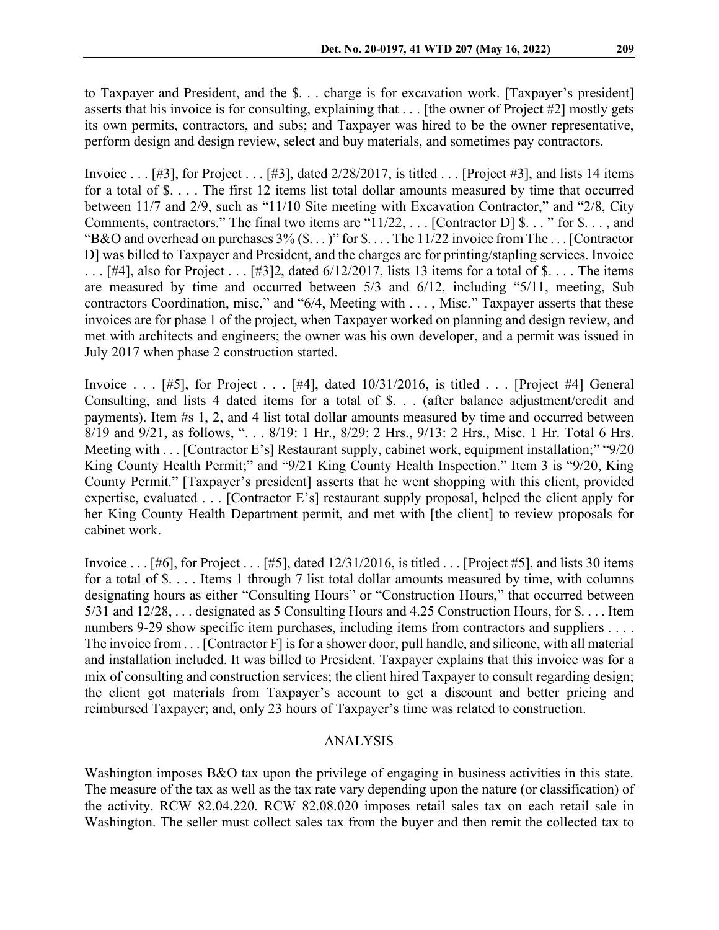to Taxpayer and President, and the \$. . . charge is for excavation work. [Taxpayer's president] asserts that his invoice is for consulting, explaining that . . . [the owner of Project #2] mostly gets its own permits, contractors, and subs; and Taxpayer was hired to be the owner representative, perform design and design review, select and buy materials, and sometimes pay contractors.

Invoice . . . [#3], for Project . . . [#3], dated 2/28/2017, is titled . . . [Project #3], and lists 14 items for a total of \$. . . . The first 12 items list total dollar amounts measured by time that occurred between 11/7 and 2/9, such as "11/10 Site meeting with Excavation Contractor," and "2/8, City Comments, contractors." The final two items are "11/22, . . . [Contractor D] \$. . . " for \$. . . , and "B&O and overhead on purchases 3% (\$. . . )" for \$. . . . The 11/22 invoice from The . . . [Contractor D] was billed to Taxpayer and President, and the charges are for printing/stapling services. Invoice  $\ldots$  [#4], also for Project  $\ldots$  [#3]2, dated 6/12/2017, lists 13 items for a total of \$.... The items are measured by time and occurred between 5/3 and 6/12, including "5/11, meeting, Sub contractors Coordination, misc," and "6/4, Meeting with . . . , Misc." Taxpayer asserts that these invoices are for phase 1 of the project, when Taxpayer worked on planning and design review, and met with architects and engineers; the owner was his own developer, and a permit was issued in July 2017 when phase 2 construction started.

Invoice . . . [#5], for Project . . . [#4], dated 10/31/2016, is titled . . . [Project #4] General Consulting, and lists 4 dated items for a total of \$. . . (after balance adjustment/credit and payments). Item #s 1, 2, and 4 list total dollar amounts measured by time and occurred between 8/19 and 9/21, as follows, ". . . 8/19: 1 Hr., 8/29: 2 Hrs., 9/13: 2 Hrs., Misc. 1 Hr. Total 6 Hrs. Meeting with . . . [Contractor E's] Restaurant supply, cabinet work, equipment installation;" "9/20" King County Health Permit;" and "9/21 King County Health Inspection." Item 3 is "9/20, King County Permit." [Taxpayer's president] asserts that he went shopping with this client, provided expertise, evaluated . . . [Contractor E's] restaurant supply proposal, helped the client apply for her King County Health Department permit, and met with [the client] to review proposals for cabinet work.

Invoice . . . [#6], for Project . . . [#5], dated 12/31/2016, is titled . . . [Project #5], and lists 30 items for a total of \$. . . . Items 1 through 7 list total dollar amounts measured by time, with columns designating hours as either "Consulting Hours" or "Construction Hours," that occurred between 5/31 and 12/28, . . . designated as 5 Consulting Hours and 4.25 Construction Hours, for \$. . . . Item numbers 9-29 show specific item purchases, including items from contractors and suppliers . . . . The invoice from . . . [Contractor F] is for a shower door, pull handle, and silicone, with all material and installation included. It was billed to President. Taxpayer explains that this invoice was for a mix of consulting and construction services; the client hired Taxpayer to consult regarding design; the client got materials from Taxpayer's account to get a discount and better pricing and reimbursed Taxpayer; and, only 23 hours of Taxpayer's time was related to construction.

#### ANALYSIS

Washington imposes B&O tax upon the privilege of engaging in business activities in this state. The measure of the tax as well as the tax rate vary depending upon the nature (or classification) of the activity. RCW 82.04.220. RCW 82.08.020 imposes retail sales tax on each retail sale in Washington. The seller must collect sales tax from the buyer and then remit the collected tax to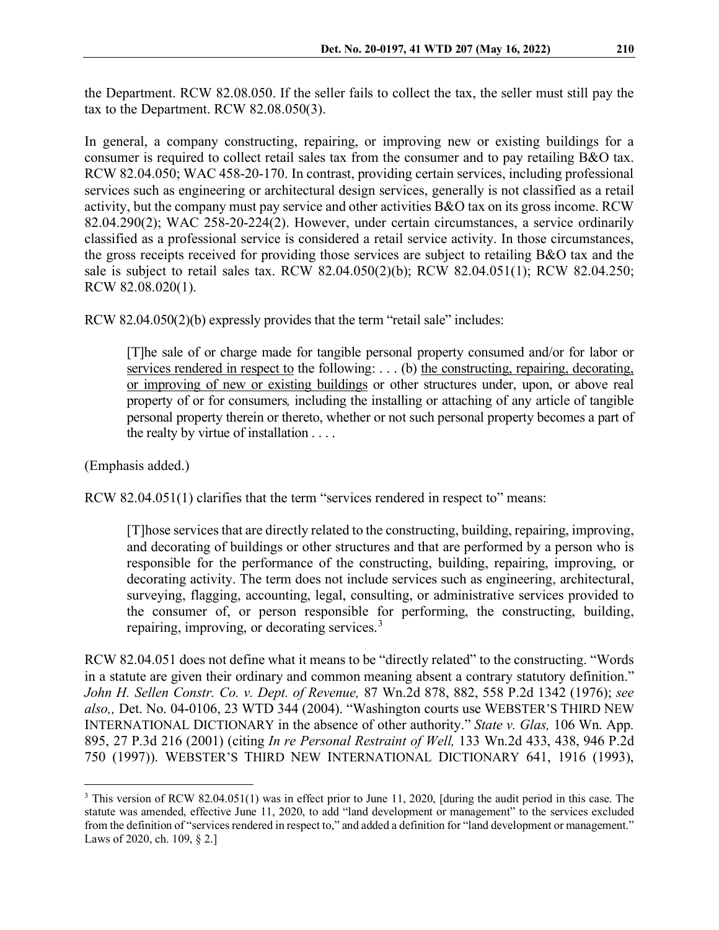the Department. RCW 82.08.050. If the seller fails to collect the tax, the seller must still pay the tax to the Department. RCW 82.08.050(3).

In general, a company constructing, repairing, or improving new or existing buildings for a consumer is required to collect retail sales tax from the consumer and to pay retailing B&O tax. RCW 82.04.050; WAC 458-20-170. In contrast, providing certain services, including professional services such as engineering or architectural design services, generally is not classified as a retail activity, but the company must pay service and other activities B&O tax on its gross income. RCW 82.04.290(2); WAC 258-20-224(2). However, under certain circumstances, a service ordinarily classified as a professional service is considered a retail service activity. In those circumstances, the gross receipts received for providing those services are subject to retailing B&O tax and the sale is subject to retail sales tax. RCW 82.04.050(2)(b); RCW 82.04.051(1); RCW 82.04.250; RCW 82.08.020(1).

RCW 82.04.050(2)(b) expressly provides that the term "retail sale" includes:

[T]he sale of or charge made for tangible personal property consumed and/or for labor or services rendered in respect to the following: . . . (b) the constructing, repairing, decorating, or improving of new or existing buildings or other structures under, upon, or above real property of or for consumers*,* including the installing or attaching of any article of tangible personal property therein or thereto, whether or not such personal property becomes a part of the realty by virtue of installation . . . .

(Emphasis added.)

RCW 82.04.051(1) clarifies that the term "services rendered in respect to" means:

[T]hose services that are directly related to the constructing, building, repairing, improving, and decorating of buildings or other structures and that are performed by a person who is responsible for the performance of the constructing, building, repairing, improving, or decorating activity. The term does not include services such as engineering, architectural, surveying, flagging, accounting, legal, consulting, or administrative services provided to the consumer of, or person responsible for performing, the constructing, building, repairing, improving, or decorating services.<sup>[3](#page-3-0)</sup>

RCW 82.04.051 does not define what it means to be "directly related" to the constructing. "Words in a statute are given their ordinary and common meaning absent a contrary statutory definition." *John H. Sellen Constr. Co. v. Dept. of Revenue,* 87 Wn.2d 878, 882, 558 P.2d 1342 (1976); *see also,,* Det. No. 04-0106, 23 WTD 344 (2004). "Washington courts use WEBSTER'S THIRD NEW INTERNATIONAL DICTIONARY in the absence of other authority." *State v. Glas,* 106 Wn. App. 895, 27 P.3d 216 (2001) (citing *In re Personal Restraint of Well,* 133 Wn.2d 433, 438, 946 P.2d 750 (1997)). WEBSTER'S THIRD NEW INTERNATIONAL DICTIONARY 641, 1916 (1993),

<span id="page-3-0"></span><sup>&</sup>lt;sup>3</sup> This version of RCW 82.04.051(1) was in effect prior to June 11, 2020, [during the audit period in this case. The statute was amended, effective June 11, 2020, to add "land development or management" to the services excluded from the definition of "services rendered in respect to," and added a definition for "land development or management." Laws of 2020, ch. 109, § 2.]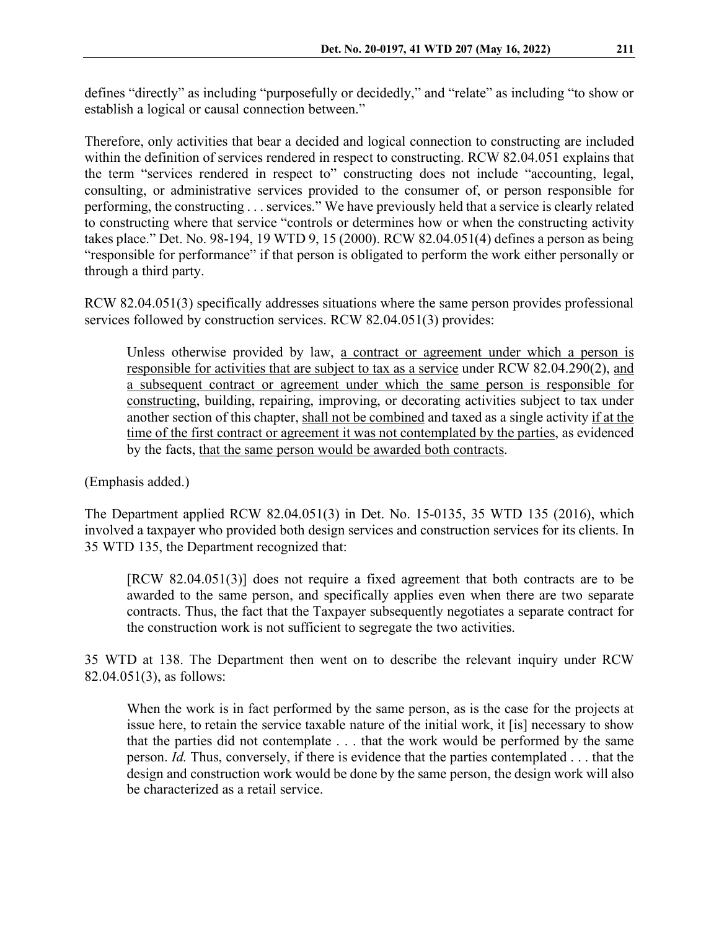defines "directly" as including "purposefully or decidedly," and "relate" as including "to show or establish a logical or causal connection between."

Therefore, only activities that bear a decided and logical connection to constructing are included within the definition of services rendered in respect to constructing. RCW 82.04.051 explains that the term "services rendered in respect to" constructing does not include "accounting, legal, consulting, or administrative services provided to the consumer of, or person responsible for performing, the constructing . . . services." We have previously held that a service is clearly related to constructing where that service "controls or determines how or when the constructing activity takes place." Det. No. 98-194, 19 WTD 9, 15 (2000). RCW 82.04.051(4) defines a person as being "responsible for performance" if that person is obligated to perform the work either personally or through a third party.

RCW 82.04.051(3) specifically addresses situations where the same person provides professional services followed by construction services. RCW 82.04.051(3) provides:

Unless otherwise provided by law, a contract or agreement under which a person is responsible for activities that are subject to tax as a service under RCW 82.04.290(2), and a subsequent contract or agreement under which the same person is responsible for constructing, building, repairing, improving, or decorating activities subject to tax under another section of this chapter, shall not be combined and taxed as a single activity if at the time of the first contract or agreement it was not contemplated by the parties, as evidenced by the facts, that the same person would be awarded both contracts.

(Emphasis added.)

The Department applied RCW 82.04.051(3) in Det. No. 15-0135, 35 WTD 135 (2016), which involved a taxpayer who provided both design services and construction services for its clients. In 35 WTD 135, the Department recognized that:

[RCW 82.04.051(3)] does not require a fixed agreement that both contracts are to be awarded to the same person, and specifically applies even when there are two separate contracts. Thus, the fact that the Taxpayer subsequently negotiates a separate contract for the construction work is not sufficient to segregate the two activities.

35 WTD at 138. The Department then went on to describe the relevant inquiry under RCW 82.04.051(3), as follows:

When the work is in fact performed by the same person, as is the case for the projects at issue here, to retain the service taxable nature of the initial work, it [is] necessary to show that the parties did not contemplate . . . that the work would be performed by the same person. *Id.* Thus, conversely, if there is evidence that the parties contemplated . . . that the design and construction work would be done by the same person, the design work will also be characterized as a retail service.